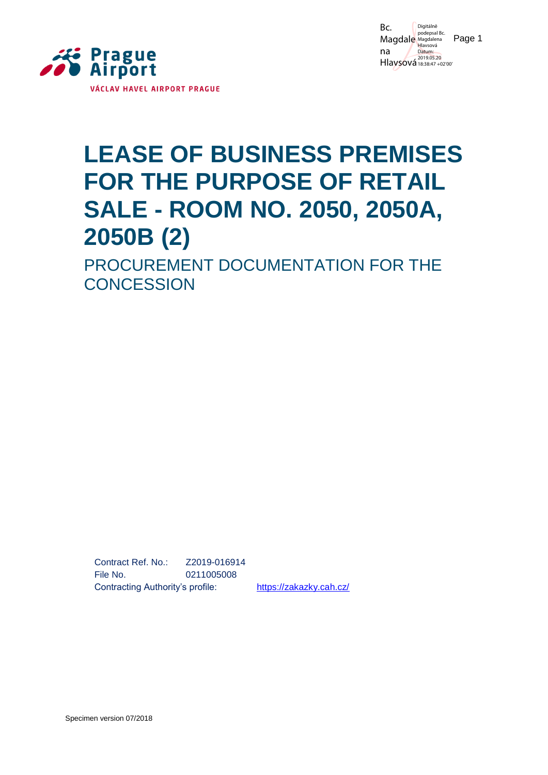

Magdale Magdalena Page 1 Bc. na Hlaysová 18:38:47 +02'00 Digitálně Hlavsová Datum: 2019.05.20

# **LEASE OF BUSINESS PREMISES FOR THE PURPOSE OF RETAIL SALE - ROOM NO. 2050, 2050A, 2050B (2)**

PROCUREMENT DOCUMENTATION FOR THE **CONCESSION** 

Contract Ref. No.: Z2019-016914 File No. 0211005008 Contracting Authority's profile: <https://zakazky.cah.cz/>

Specimen version 07/2018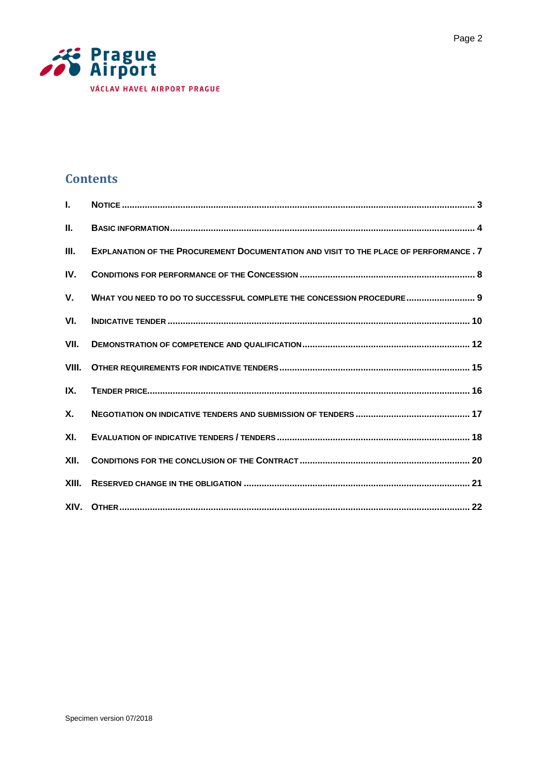

# **Contents**

| L.        |                                                                                        |
|-----------|----------------------------------------------------------------------------------------|
| Ш.        |                                                                                        |
| Ш.        | EXPLANATION OF THE PROCUREMENT DOCUMENTATION AND VISIT TO THE PLACE OF PERFORMANCE . 7 |
| IV.       |                                                                                        |
| V.        | WHAT YOU NEED TO DO TO SUCCESSFUL COMPLETE THE CONCESSION PROCEDURE 9                  |
| VI.       |                                                                                        |
| VII.      |                                                                                        |
| VIII.     |                                                                                        |
| IX.       |                                                                                        |
| <b>X.</b> |                                                                                        |
| XI.       |                                                                                        |
| XII.      |                                                                                        |
| XIII.     |                                                                                        |
|           |                                                                                        |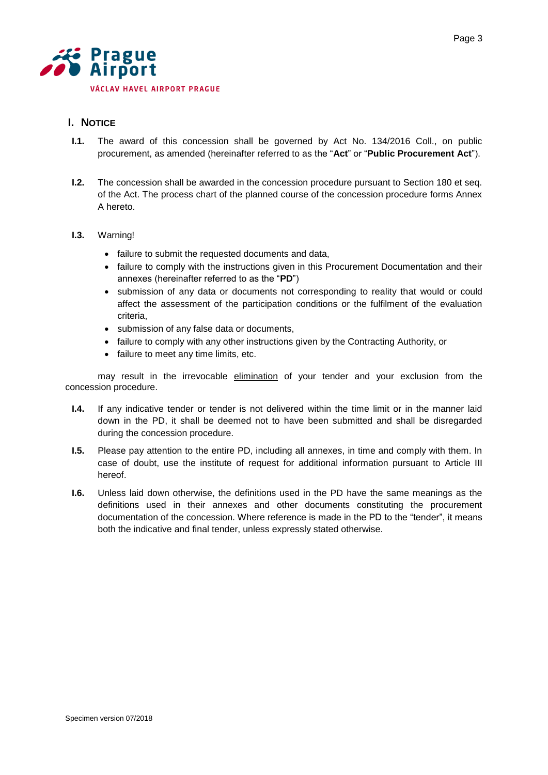

# <span id="page-2-0"></span>**I. NOTICE**

- **I.1.** The award of this concession shall be governed by Act No. 134/2016 Coll., on public procurement, as amended (hereinafter referred to as the "**Act**" or "**Public Procurement Act**").
- **I.2.** The concession shall be awarded in the concession procedure pursuant to Section 180 et seq. of the Act. The process chart of the planned course of the concession procedure forms Annex A hereto.

# **I.3.** Warning!

- failure to submit the requested documents and data,
- failure to comply with the instructions given in this Procurement Documentation and their annexes (hereinafter referred to as the "**PD**")
- submission of any data or documents not corresponding to reality that would or could affect the assessment of the participation conditions or the fulfilment of the evaluation criteria,
- submission of any false data or documents,
- failure to comply with any other instructions given by the Contracting Authority, or
- failure to meet any time limits, etc.

may result in the irrevocable elimination of your tender and your exclusion from the concession procedure.

- **I.4.** If any indicative tender or tender is not delivered within the time limit or in the manner laid down in the PD, it shall be deemed not to have been submitted and shall be disregarded during the concession procedure.
- **I.5.** Please pay attention to the entire PD, including all annexes, in time and comply with them. In case of doubt, use the institute of request for additional information pursuant to Article III hereof.
- **I.6.** Unless laid down otherwise, the definitions used in the PD have the same meanings as the definitions used in their annexes and other documents constituting the procurement documentation of the concession. Where reference is made in the PD to the "tender", it means both the indicative and final tender, unless expressly stated otherwise.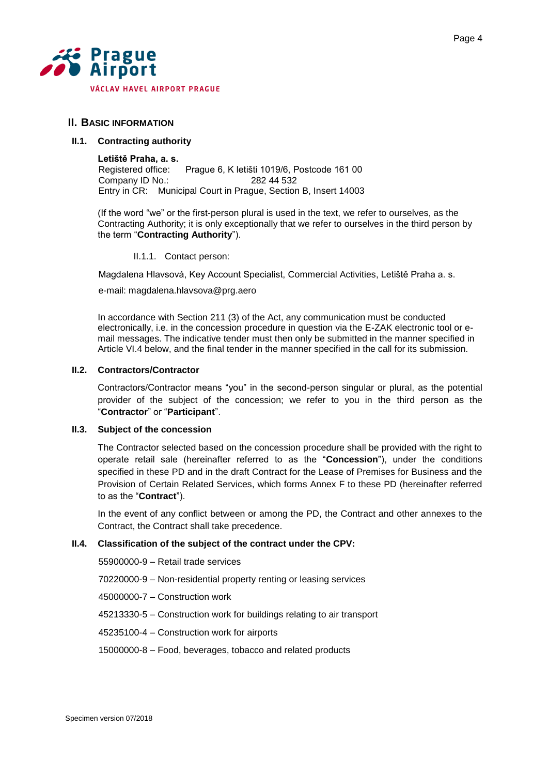

# <span id="page-3-0"></span>**II. BASIC INFORMATION**

#### **II.1. Contracting authority**

**Letiště Praha, a. s.** Registered office: Prague 6, K letišti 1019/6, Postcode 161 00 Company ID No.: 282 44 532 Entry in CR: Municipal Court in Prague, Section B, Insert 14003

(If the word "we" or the first-person plural is used in the text, we refer to ourselves, as the Contracting Authority; it is only exceptionally that we refer to ourselves in the third person by the term "**Contracting Authority**").

II.1.1. Contact person:

Magdalena Hlavsová, Key Account Specialist, Commercial Activities, Letiště Praha a. s.

e-mail: magdalena.hlavsova@prg.aero

In accordance with Section 211 (3) of the Act, any communication must be conducted electronically, i.e. in the concession procedure in question via the E-ZAK electronic tool or email messages. The indicative tender must then only be submitted in the manner specified in Article VI.4 below, and the final tender in the manner specified in the call for its submission.

# **II.2. Contractors/Contractor**

Contractors/Contractor means "you" in the second-person singular or plural, as the potential provider of the subject of the concession; we refer to you in the third person as the "**Contractor**" or "**Participant**".

#### **II.3. Subject of the concession**

The Contractor selected based on the concession procedure shall be provided with the right to operate retail sale (hereinafter referred to as the "**Concession**"), under the conditions specified in these PD and in the draft Contract for the Lease of Premises for Business and the Provision of Certain Related Services, which forms Annex F to these PD (hereinafter referred to as the "**Contract**").

In the event of any conflict between or among the PD, the Contract and other annexes to the Contract, the Contract shall take precedence.

# **II.4. Classification of the subject of the contract under the CPV:**

55900000-9 – Retail trade services

70220000-9 – Non-residential property renting or leasing services

45000000-7 – Construction work

45213330-5 – Construction work for buildings relating to air transport

45235100-4 – Construction work for airports

15000000-8 – Food, beverages, tobacco and related products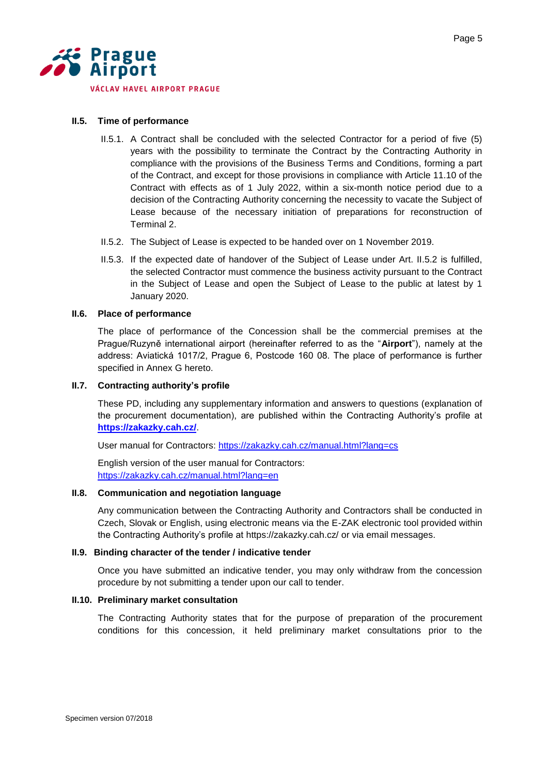

# **II.5. Time of performance**

- II.5.1. A Contract shall be concluded with the selected Contractor for a period of five (5) years with the possibility to terminate the Contract by the Contracting Authority in compliance with the provisions of the Business Terms and Conditions, forming a part of the Contract, and except for those provisions in compliance with Article 11.10 of the Contract with effects as of 1 July 2022, within a six-month notice period due to a decision of the Contracting Authority concerning the necessity to vacate the Subject of Lease because of the necessary initiation of preparations for reconstruction of Terminal 2.
- II.5.2. The Subject of Lease is expected to be handed over on 1 November 2019.
- II.5.3. If the expected date of handover of the Subject of Lease under Art. II.5.2 is fulfilled, the selected Contractor must commence the business activity pursuant to the Contract in the Subject of Lease and open the Subject of Lease to the public at latest by 1 January 2020.

# **II.6. Place of performance**

The place of performance of the Concession shall be the commercial premises at the Prague/Ruzyně international airport (hereinafter referred to as the "**Airport**"), namely at the address: Aviatická 1017/2, Prague 6, Postcode 160 08. The place of performance is further specified in Annex G hereto.

#### **II.7. Contracting authority's profile**

These PD, including any supplementary information and answers to questions (explanation of the procurement documentation), are published within the Contracting Authority's profile at **<https://zakazky.cah.cz/>**.

User manual for Contractors:<https://zakazky.cah.cz/manual.html?lang=cs>

English version of the user manual for Contractors: <https://zakazky.cah.cz/manual.html?lang=en>

#### **II.8. Communication and negotiation language**

Any communication between the Contracting Authority and Contractors shall be conducted in Czech, Slovak or English, using electronic means via the E-ZAK electronic tool provided within the Contracting Authority's profile at<https://zakazky.cah.cz/> or via email messages.

#### **II.9. Binding character of the tender / indicative tender**

Once you have submitted an indicative tender, you may only withdraw from the concession procedure by not submitting a tender upon our call to tender.

# **II.10. Preliminary market consultation**

The Contracting Authority states that for the purpose of preparation of the procurement conditions for this concession, it held preliminary market consultations prior to the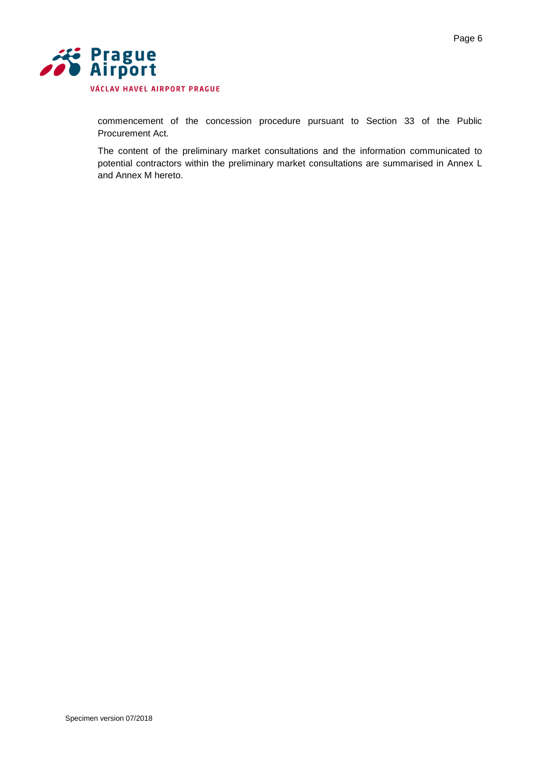

commencement of the concession procedure pursuant to Section 33 of the Public Procurement Act.

The content of the preliminary market consultations and the information communicated to potential contractors within the preliminary market consultations are summarised in Annex L and Annex M hereto.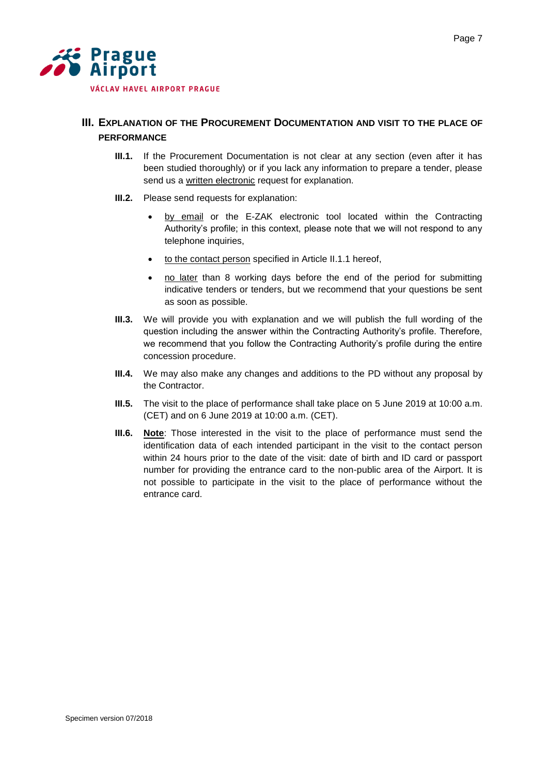

# <span id="page-6-0"></span>**III. EXPLANATION OF THE PROCUREMENT DOCUMENTATION AND VISIT TO THE PLACE OF PERFORMANCE**

- **III.1.** If the Procurement Documentation is not clear at any section (even after it has been studied thoroughly) or if you lack any information to prepare a tender, please send us a written electronic request for explanation.
- **III.2.** Please send requests for explanation:
	- by email or the E-ZAK electronic tool located within the Contracting Authority's profile; in this context, please note that we will not respond to any telephone inquiries,
	- to the contact person specified in Article II.1.1 hereof,
	- no later than 8 working days before the end of the period for submitting indicative tenders or tenders, but we recommend that your questions be sent as soon as possible.
- **III.3.** We will provide you with explanation and we will publish the full wording of the question including the answer within the Contracting Authority's profile. Therefore, we recommend that you follow the Contracting Authority's profile during the entire concession procedure.
- **III.4.** We may also make any changes and additions to the PD without any proposal by the Contractor.
- **III.5.** The visit to the place of performance shall take place on 5 June 2019 at 10:00 a.m. (CET) and on 6 June 2019 at 10:00 a.m. (CET).
- **III.6. Note**: Those interested in the visit to the place of performance must send the identification data of each intended participant in the visit to the contact person within 24 hours prior to the date of the visit: date of birth and ID card or passport number for providing the entrance card to the non-public area of the Airport. It is not possible to participate in the visit to the place of performance without the entrance card.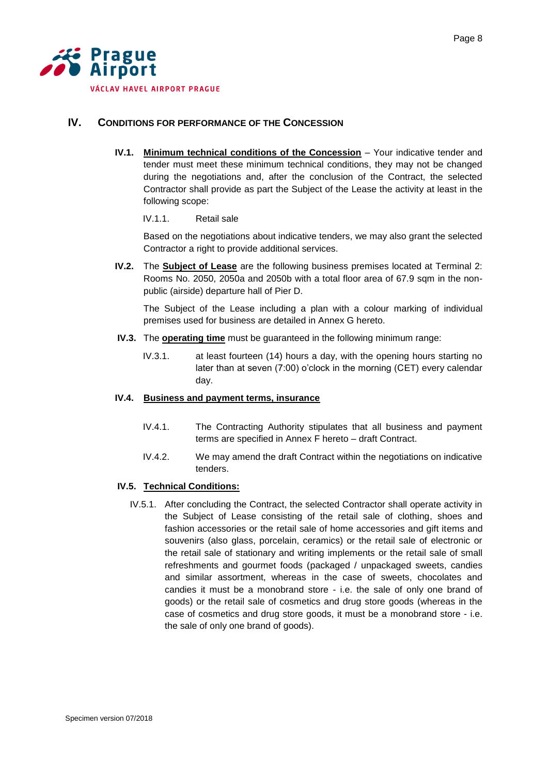

# <span id="page-7-0"></span>**IV. CONDITIONS FOR PERFORMANCE OF THE CONCESSION**

**IV.1. Minimum technical conditions of the Concession** – Your indicative tender and tender must meet these minimum technical conditions, they may not be changed during the negotiations and, after the conclusion of the Contract, the selected Contractor shall provide as part the Subject of the Lease the activity at least in the following scope:

# IV.1.1. Retail sale

Based on the negotiations about indicative tenders, we may also grant the selected Contractor a right to provide additional services.

**IV.2.** The **Subject of Lease** are the following business premises located at Terminal 2: Rooms No. 2050, 2050a and 2050b with a total floor area of 67.9 sqm in the nonpublic (airside) departure hall of Pier D.

The Subject of the Lease including a plan with a colour marking of individual premises used for business are detailed in Annex G hereto.

- **IV.3.** The **operating time** must be guaranteed in the following minimum range:
	- IV.3.1. at least fourteen (14) hours a day, with the opening hours starting no later than at seven (7:00) o'clock in the morning (CET) every calendar day.

# **IV.4. Business and payment terms, insurance**

- IV.4.1. The Contracting Authority stipulates that all business and payment terms are specified in Annex F hereto – draft Contract.
- IV.4.2. We may amend the draft Contract within the negotiations on indicative tenders.

# **IV.5. Technical Conditions:**

IV.5.1. After concluding the Contract, the selected Contractor shall operate activity in the Subject of Lease consisting of the retail sale of clothing, shoes and fashion accessories or the retail sale of home accessories and gift items and souvenirs (also glass, porcelain, ceramics) or the retail sale of electronic or the retail sale of stationary and writing implements or the retail sale of small refreshments and gourmet foods (packaged / unpackaged sweets, candies and similar assortment, whereas in the case of sweets, chocolates and candies it must be a monobrand store - i.e. the sale of only one brand of goods) or the retail sale of cosmetics and drug store goods (whereas in the case of cosmetics and drug store goods, it must be a monobrand store - i.e. the sale of only one brand of goods).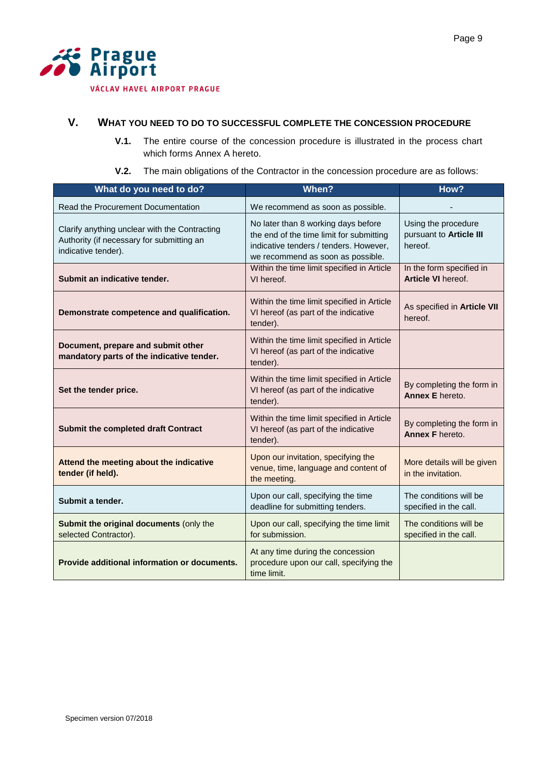

# <span id="page-8-0"></span>**V. WHAT YOU NEED TO DO TO SUCCESSFUL COMPLETE THE CONCESSION PROCEDURE**

- **V.1.** The entire course of the concession procedure is illustrated in the process chart which forms Annex A hereto.
- **V.2.** The main obligations of the Contractor in the concession procedure are as follows:

| What do you need to do?                                                                                           | When?                                                                                                                                                          | How?                                                      |
|-------------------------------------------------------------------------------------------------------------------|----------------------------------------------------------------------------------------------------------------------------------------------------------------|-----------------------------------------------------------|
| Read the Procurement Documentation                                                                                | We recommend as soon as possible.                                                                                                                              |                                                           |
| Clarify anything unclear with the Contracting<br>Authority (if necessary for submitting an<br>indicative tender). | No later than 8 working days before<br>the end of the time limit for submitting<br>indicative tenders / tenders. However,<br>we recommend as soon as possible. | Using the procedure<br>pursuant to Article III<br>hereof. |
| Submit an indicative tender.                                                                                      | Within the time limit specified in Article<br>VI hereof.                                                                                                       | In the form specified in<br><b>Article VI hereof.</b>     |
| Demonstrate competence and qualification.                                                                         | Within the time limit specified in Article<br>VI hereof (as part of the indicative<br>tender).                                                                 | As specified in Article VII<br>hereof.                    |
| Document, prepare and submit other<br>mandatory parts of the indicative tender.                                   | Within the time limit specified in Article<br>VI hereof (as part of the indicative<br>tender).                                                                 |                                                           |
| Set the tender price.                                                                                             | Within the time limit specified in Article<br>VI hereof (as part of the indicative<br>tender).                                                                 | By completing the form in<br>Annex E hereto.              |
| <b>Submit the completed draft Contract</b>                                                                        | Within the time limit specified in Article<br>VI hereof (as part of the indicative<br>tender).                                                                 | By completing the form in<br>Annex F hereto.              |
| Attend the meeting about the indicative<br>tender (if held).                                                      | Upon our invitation, specifying the<br>venue, time, language and content of<br>the meeting.                                                                    | More details will be given<br>in the invitation.          |
| Submit a tender.                                                                                                  | Upon our call, specifying the time<br>deadline for submitting tenders.                                                                                         | The conditions will be<br>specified in the call.          |
| Submit the original documents (only the<br>selected Contractor).                                                  | Upon our call, specifying the time limit<br>for submission.                                                                                                    | The conditions will be<br>specified in the call.          |
| Provide additional information or documents.                                                                      | At any time during the concession<br>procedure upon our call, specifying the<br>time limit.                                                                    |                                                           |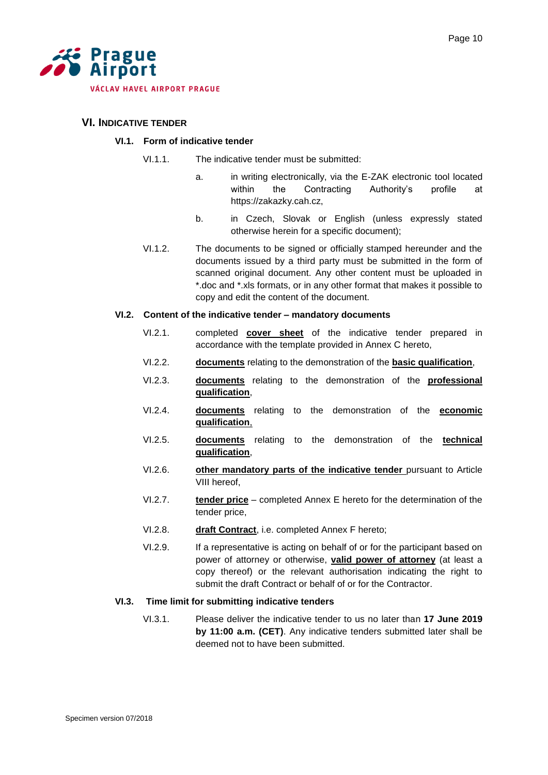

# <span id="page-9-0"></span>**VI. INDICATIVE TENDER**

#### **VI.1. Form of indicative tender**

- VI.1.1. The indicative tender must be submitted:
	- a. in writing electronically, via the E-ZAK electronic tool located within the Contracting Authority's profile at https://zakazky.cah.cz,
	- b. in Czech, Slovak or English (unless expressly stated otherwise herein for a specific document);
- VI.1.2. The documents to be signed or officially stamped hereunder and the documents issued by a third party must be submitted in the form of scanned original document. Any other content must be uploaded in \*.doc and \*.xls formats, or in any other format that makes it possible to copy and edit the content of the document.

#### **VI.2. Content of the indicative tender – mandatory documents**

- VI.2.1. completed **cover sheet** of the indicative tender prepared in accordance with the template provided in Annex C hereto,
- VI.2.2. **documents** relating to the demonstration of the **basic qualification**,
- VI.2.3. **documents** relating to the demonstration of the **professional qualification**,
- VI.2.4. **documents** relating to the demonstration of the **economic qualification**,
- VI.2.5. **documents** relating to the demonstration of the **technical qualification**,
- VI.2.6. **other mandatory parts of the indicative tender** pursuant to Article VIII hereof,
- VI.2.7. **tender price** completed Annex E hereto for the determination of the tender price,
- VI.2.8. **draft Contract**, i.e. completed Annex F hereto;
- VI.2.9. If a representative is acting on behalf of or for the participant based on power of attorney or otherwise, **valid power of attorney** (at least a copy thereof) or the relevant authorisation indicating the right to submit the draft Contract or behalf of or for the Contractor.

#### **VI.3. Time limit for submitting indicative tenders**

VI.3.1. Please deliver the indicative tender to us no later than **17 June 2019 by 11:00 a.m. (CET)**. Any indicative tenders submitted later shall be deemed not to have been submitted.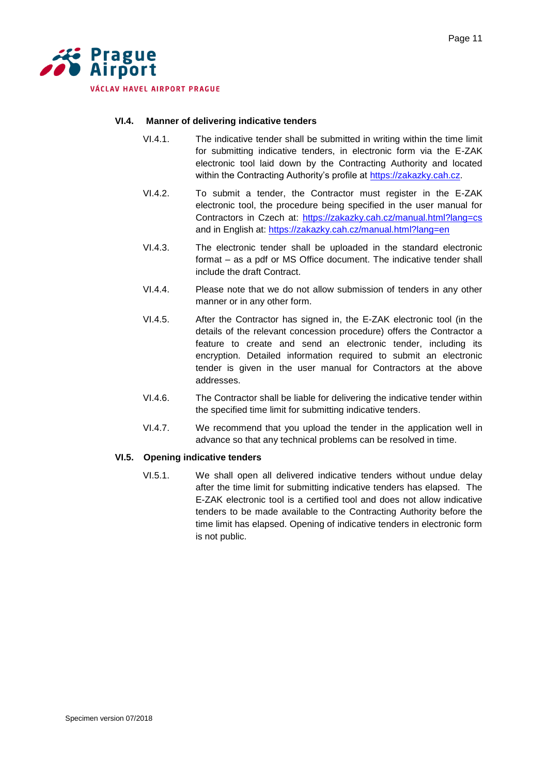

# **VI.4. Manner of delivering indicative tenders**

- VI.4.1. The indicative tender shall be submitted in writing within the time limit for submitting indicative tenders, in electronic form via the E-ZAK electronic tool laid down by the Contracting Authority and located within the Contracting Authority's profile at [https://zakazky.cah.cz.](https://zakazky.cah.cz/)
- VI.4.2. To submit a tender, the Contractor must register in the E-ZAK electronic tool, the procedure being specified in the user manual for Contractors in Czech at:<https://zakazky.cah.cz/manual.html?lang=cs> and in English at:<https://zakazky.cah.cz/manual.html?lang=en>
- VI.4.3. The electronic tender shall be uploaded in the standard electronic format – as a pdf or MS Office document. The indicative tender shall include the draft Contract.
- VI.4.4. Please note that we do not allow submission of tenders in any other manner or in any other form.
- VI.4.5. After the Contractor has signed in, the E-ZAK electronic tool (in the details of the relevant concession procedure) offers the Contractor a feature to create and send an electronic tender, including its encryption. Detailed information required to submit an electronic tender is given in the user manual for Contractors at the above addresses.
- VI.4.6. The Contractor shall be liable for delivering the indicative tender within the specified time limit for submitting indicative tenders.
- VI.4.7. We recommend that you upload the tender in the application well in advance so that any technical problems can be resolved in time.

#### **VI.5. Opening indicative tenders**

VI.5.1. We shall open all delivered indicative tenders without undue delay after the time limit for submitting indicative tenders has elapsed. The E-ZAK electronic tool is a certified tool and does not allow indicative tenders to be made available to the Contracting Authority before the time limit has elapsed. Opening of indicative tenders in electronic form is not public.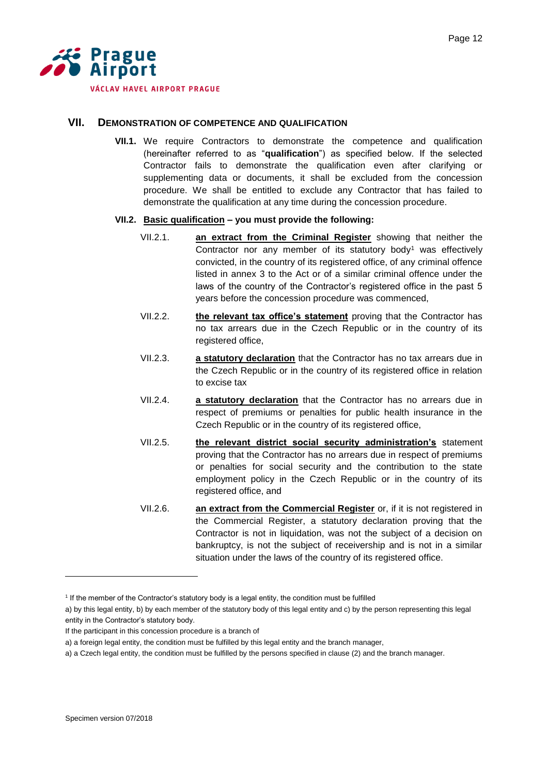

# <span id="page-11-0"></span>**VII. DEMONSTRATION OF COMPETENCE AND QUALIFICATION**

**VII.1.** We require Contractors to demonstrate the competence and qualification (hereinafter referred to as "**qualification**") as specified below. If the selected Contractor fails to demonstrate the qualification even after clarifying or supplementing data or documents, it shall be excluded from the concession procedure. We shall be entitled to exclude any Contractor that has failed to demonstrate the qualification at any time during the concession procedure.

#### **VII.2. Basic qualification – you must provide the following:**

- VII.2.1. **an extract from the Criminal Register** showing that neither the Contractor nor any member of its statutory body<sup>1</sup> was effectively convicted, in the country of its registered office, of any criminal offence listed in annex 3 to the Act or of a similar criminal offence under the laws of the country of the Contractor's registered office in the past 5 years before the concession procedure was commenced,
- VII.2.2. **the relevant tax office's statement** proving that the Contractor has no tax arrears due in the Czech Republic or in the country of its registered office,
- VII.2.3. **a statutory declaration** that the Contractor has no tax arrears due in the Czech Republic or in the country of its registered office in relation to excise tax
- VII.2.4. **a statutory declaration** that the Contractor has no arrears due in respect of premiums or penalties for public health insurance in the Czech Republic or in the country of its registered office,
- VII.2.5. **the relevant district social security administration's** statement proving that the Contractor has no arrears due in respect of premiums or penalties for social security and the contribution to the state employment policy in the Czech Republic or in the country of its registered office, and
- VII.2.6. **an extract from the Commercial Register** or, if it is not registered in the Commercial Register, a statutory declaration proving that the Contractor is not in liquidation, was not the subject of a decision on bankruptcy, is not the subject of receivership and is not in a similar situation under the laws of the country of its registered office.

If the participant in this concession procedure is a branch of

l

<sup>&</sup>lt;sup>1</sup> If the member of the Contractor's statutory body is a legal entity, the condition must be fulfilled

a) by this legal entity, b) by each member of the statutory body of this legal entity and c) by the person representing this legal entity in the Contractor's statutory body.

a) a foreign legal entity, the condition must be fulfilled by this legal entity and the branch manager,

a) a Czech legal entity, the condition must be fulfilled by the persons specified in clause (2) and the branch manager.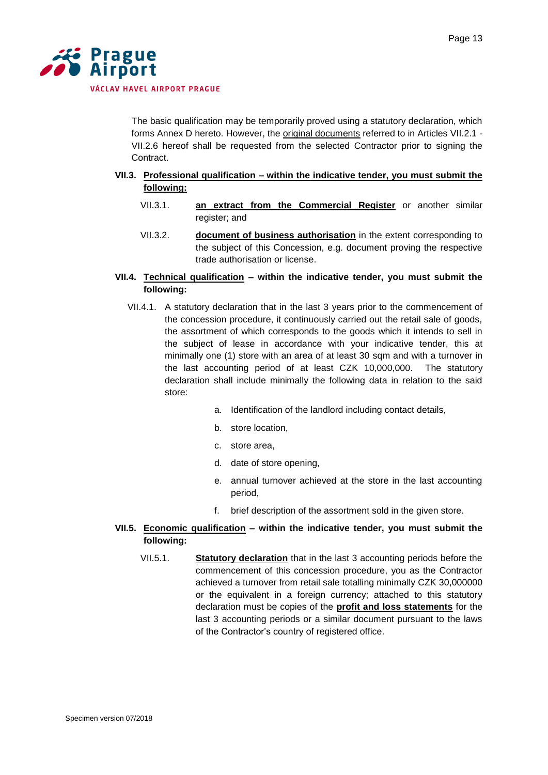

The basic qualification may be temporarily proved using a statutory declaration, which forms Annex D hereto. However, the original documents referred to in Articles VII.2.1 - VII.2.6 hereof shall be requested from the selected Contractor prior to signing the Contract.

- **VII.3. Professional qualification – within the indicative tender, you must submit the following:**
	- VII.3.1. **an extract from the Commercial Register** or another similar register; and
	- VII.3.2. **document of business authorisation** in the extent corresponding to the subject of this Concession, e.g. document proving the respective trade authorisation or license.
- **VII.4. Technical qualification – within the indicative tender, you must submit the following:**
	- VII.4.1. A statutory declaration that in the last 3 years prior to the commencement of the concession procedure, it continuously carried out the retail sale of goods, the assortment of which corresponds to the goods which it intends to sell in the subject of lease in accordance with your indicative tender, this at minimally one (1) store with an area of at least 30 sqm and with a turnover in the last accounting period of at least CZK 10,000,000. The statutory declaration shall include minimally the following data in relation to the said store:
		- a. Identification of the landlord including contact details,
		- b. store location,
		- c. store area,
		- d. date of store opening,
		- e. annual turnover achieved at the store in the last accounting period,
		- f. brief description of the assortment sold in the given store.
- **VII.5. Economic qualification – within the indicative tender, you must submit the following:**
	- VII.5.1. **Statutory declaration** that in the last 3 accounting periods before the commencement of this concession procedure, you as the Contractor achieved a turnover from retail sale totalling minimally CZK 30,000000 or the equivalent in a foreign currency; attached to this statutory declaration must be copies of the **profit and loss statements** for the last 3 accounting periods or a similar document pursuant to the laws of the Contractor's country of registered office.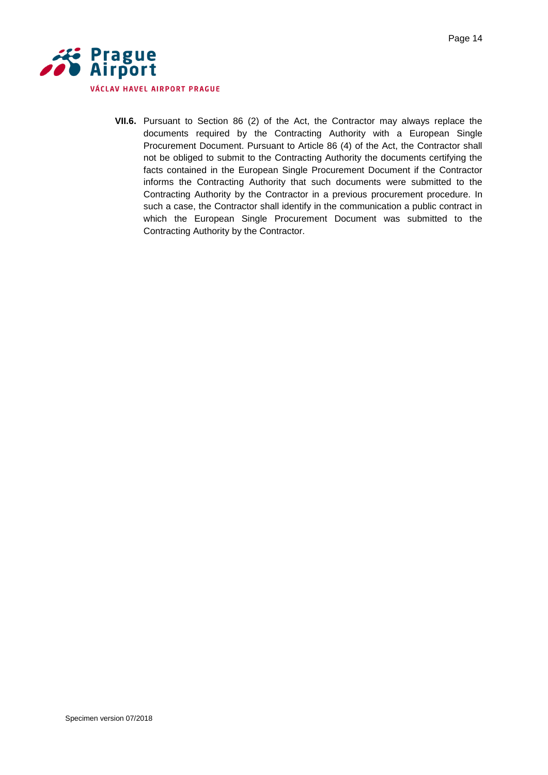

**VII.6.** Pursuant to Section 86 (2) of the Act, the Contractor may always replace the documents required by the Contracting Authority with a European Single Procurement Document. Pursuant to Article 86 (4) of the Act, the Contractor shall not be obliged to submit to the Contracting Authority the documents certifying the facts contained in the European Single Procurement Document if the Contractor informs the Contracting Authority that such documents were submitted to the Contracting Authority by the Contractor in a previous procurement procedure. In such a case, the Contractor shall identify in the communication a public contract in which the European Single Procurement Document was submitted to the Contracting Authority by the Contractor.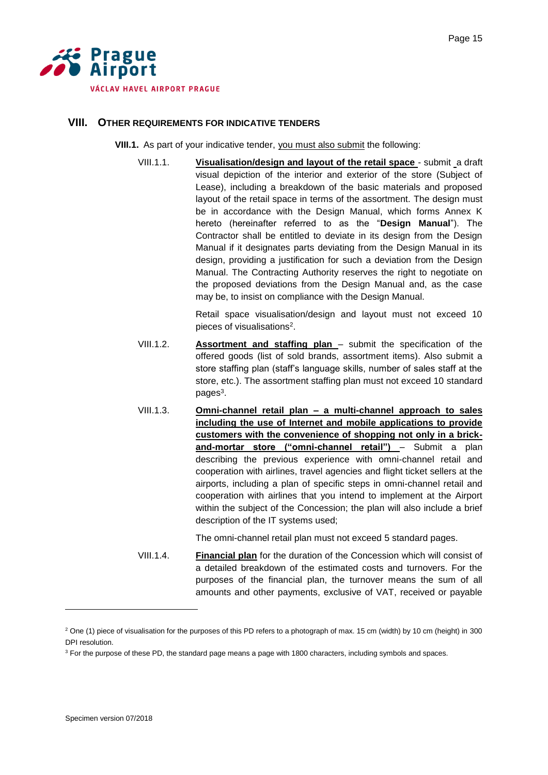

#### <span id="page-14-0"></span>**VIII. OTHER REQUIREMENTS FOR INDICATIVE TENDERS**

**VIII.1.** As part of your indicative tender, you must also submit the following:

VIII.1.1. **Visualisation/design and layout of the retail space** - submit a draft visual depiction of the interior and exterior of the store (Subject of Lease), including a breakdown of the basic materials and proposed layout of the retail space in terms of the assortment. The design must be in accordance with the Design Manual, which forms Annex K hereto (hereinafter referred to as the "**Design Manual**"). The Contractor shall be entitled to deviate in its design from the Design Manual if it designates parts deviating from the Design Manual in its design, providing a justification for such a deviation from the Design Manual. The Contracting Authority reserves the right to negotiate on the proposed deviations from the Design Manual and, as the case may be, to insist on compliance with the Design Manual.

> Retail space visualisation/design and layout must not exceed 10 pieces of visualisations<sup>2</sup>.

- VIII.1.2. **Assortment and staffing plan**  submit the specification of the offered goods (list of sold brands, assortment items). Also submit a store staffing plan (staff's language skills, number of sales staff at the store, etc.). The assortment staffing plan must not exceed 10 standard pages<sup>3</sup>.
- VIII.1.3. **Omni-channel retail plan – a multi-channel approach to sales including the use of Internet and mobile applications to provide customers with the convenience of shopping not only in a brickand-mortar store ("omni-channel retail")** – Submit a plan describing the previous experience with omni-channel retail and cooperation with airlines, travel agencies and flight ticket sellers at the airports, including a plan of specific steps in omni-channel retail and cooperation with airlines that you intend to implement at the Airport within the subject of the Concession; the plan will also include a brief description of the IT systems used;

The omni-channel retail plan must not exceed 5 standard pages.

VIII.1.4. **Financial plan** for the duration of the Concession which will consist of a detailed breakdown of the estimated costs and turnovers. For the purposes of the financial plan, the turnover means the sum of all amounts and other payments, exclusive of VAT, received or payable

l

<sup>&</sup>lt;sup>2</sup> One (1) piece of visualisation for the purposes of this PD refers to a photograph of max. 15 cm (width) by 10 cm (height) in 300 DPI resolution.

<sup>&</sup>lt;sup>3</sup> For the purpose of these PD, the standard page means a page with 1800 characters, including symbols and spaces.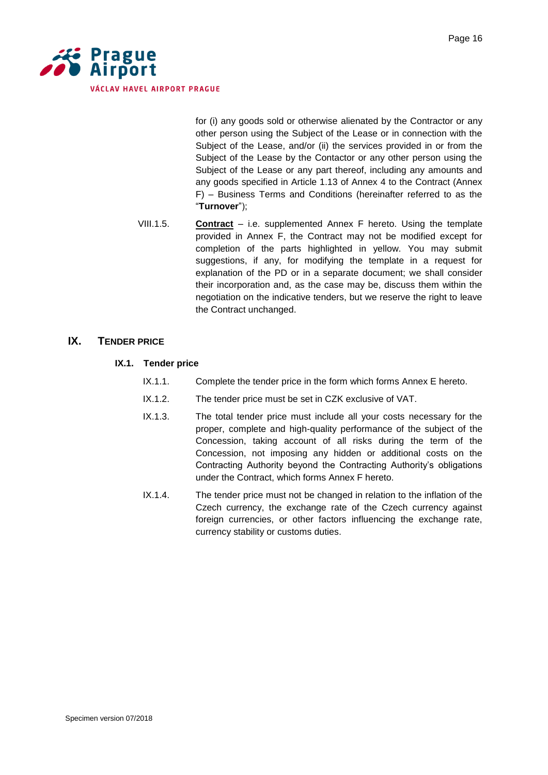

for (i) any goods sold or otherwise alienated by the Contractor or any other person using the Subject of the Lease or in connection with the Subject of the Lease, and/or (ii) the services provided in or from the Subject of the Lease by the Contactor or any other person using the Subject of the Lease or any part thereof, including any amounts and any goods specified in Article 1.13 of Annex 4 to the Contract (Annex F) – Business Terms and Conditions (hereinafter referred to as the "**Turnover**");

VIII.1.5. **Contract** – i.e. supplemented Annex F hereto. Using the template provided in Annex F, the Contract may not be modified except for completion of the parts highlighted in yellow. You may submit suggestions, if any, for modifying the template in a request for explanation of the PD or in a separate document; we shall consider their incorporation and, as the case may be, discuss them within the negotiation on the indicative tenders, but we reserve the right to leave the Contract unchanged.

# <span id="page-15-0"></span>**IX. TENDER PRICE**

- **IX.1. Tender price** 
	- IX.1.1. Complete the tender price in the form which forms Annex E hereto.
	- IX.1.2. The tender price must be set in CZK exclusive of VAT.
	- IX.1.3. The total tender price must include all your costs necessary for the proper, complete and high-quality performance of the subject of the Concession, taking account of all risks during the term of the Concession, not imposing any hidden or additional costs on the Contracting Authority beyond the Contracting Authority's obligations under the Contract, which forms Annex F hereto.
	- IX.1.4. The tender price must not be changed in relation to the inflation of the Czech currency, the exchange rate of the Czech currency against foreign currencies, or other factors influencing the exchange rate, currency stability or customs duties.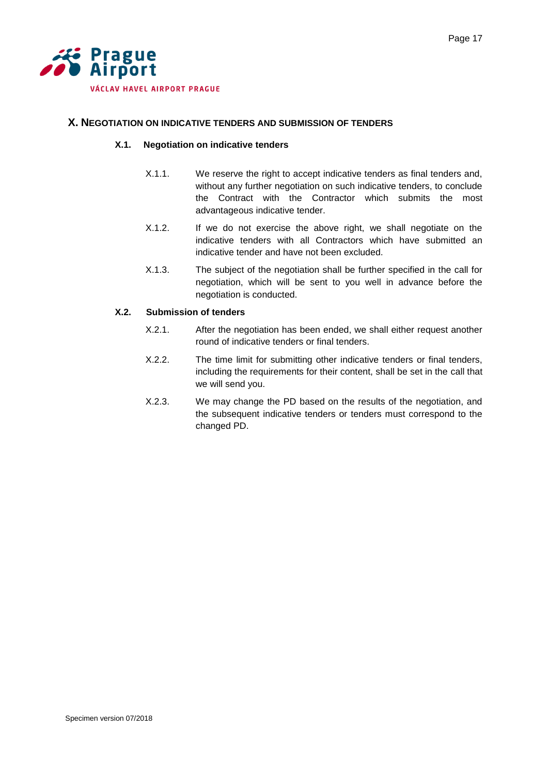

# <span id="page-16-0"></span>**X. NEGOTIATION ON INDICATIVE TENDERS AND SUBMISSION OF TENDERS**

# **X.1. Negotiation on indicative tenders**

- X.1.1. We reserve the right to accept indicative tenders as final tenders and, without any further negotiation on such indicative tenders, to conclude the Contract with the Contractor which submits the most advantageous indicative tender.
- X.1.2. If we do not exercise the above right, we shall negotiate on the indicative tenders with all Contractors which have submitted an indicative tender and have not been excluded.
- X.1.3. The subject of the negotiation shall be further specified in the call for negotiation, which will be sent to you well in advance before the negotiation is conducted.

# **X.2. Submission of tenders**

- X.2.1. After the negotiation has been ended, we shall either request another round of indicative tenders or final tenders.
- X.2.2. The time limit for submitting other indicative tenders or final tenders, including the requirements for their content, shall be set in the call that we will send you.
- X.2.3. We may change the PD based on the results of the negotiation, and the subsequent indicative tenders or tenders must correspond to the changed PD.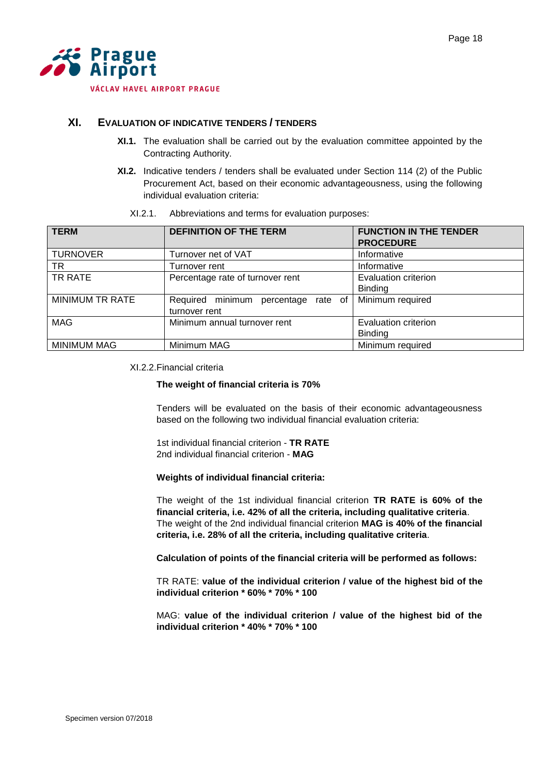

# <span id="page-17-0"></span>**XI. EVALUATION OF INDICATIVE TENDERS / TENDERS**

- **XI.1.** The evaluation shall be carried out by the evaluation committee appointed by the Contracting Authority.
- **XI.2.** Indicative tenders / tenders shall be evaluated under Section 114 (2) of the Public Procurement Act, based on their economic advantageousness, using the following individual evaluation criteria:

| <b>TERM</b>            | <b>DEFINITION OF THE TERM</b>       | <b>FUNCTION IN THE TENDER</b><br><b>PROCEDURE</b> |
|------------------------|-------------------------------------|---------------------------------------------------|
| <b>TURNOVER</b>        | Turnover net of VAT                 | Informative                                       |
| TR                     | Turnover rent                       | Informative                                       |
| TR RATE                | Percentage rate of turnover rent    | Evaluation criterion                              |
|                        |                                     | <b>Binding</b>                                    |
| <b>MINIMUM TR RATE</b> | Required minimum percentage rate of | Minimum required                                  |
|                        | turnover rent                       |                                                   |
| <b>MAG</b>             | Minimum annual turnover rent        | Evaluation criterion                              |
|                        |                                     | <b>Binding</b>                                    |
| <b>MINIMUM MAG</b>     | Minimum MAG                         | Minimum required                                  |

XI.2.1. Abbreviations and terms for evaluation purposes:

#### XI.2.2.Financial criteria

#### **The weight of financial criteria is 70%**

Tenders will be evaluated on the basis of their economic advantageousness based on the following two individual financial evaluation criteria:

1st individual financial criterion - **TR RATE**  2nd individual financial criterion - **MAG** 

#### **Weights of individual financial criteria:**

The weight of the 1st individual financial criterion **TR RATE is 60% of the financial criteria, i.e. 42% of all the criteria, including qualitative criteria**. The weight of the 2nd individual financial criterion **MAG is 40% of the financial criteria, i.e. 28% of all the criteria, including qualitative criteria**.

**Calculation of points of the financial criteria will be performed as follows:**

TR RATE: **value of the individual criterion / value of the highest bid of the individual criterion \* 60% \* 70% \* 100**

MAG: **value of the individual criterion / value of the highest bid of the individual criterion \* 40% \* 70% \* 100**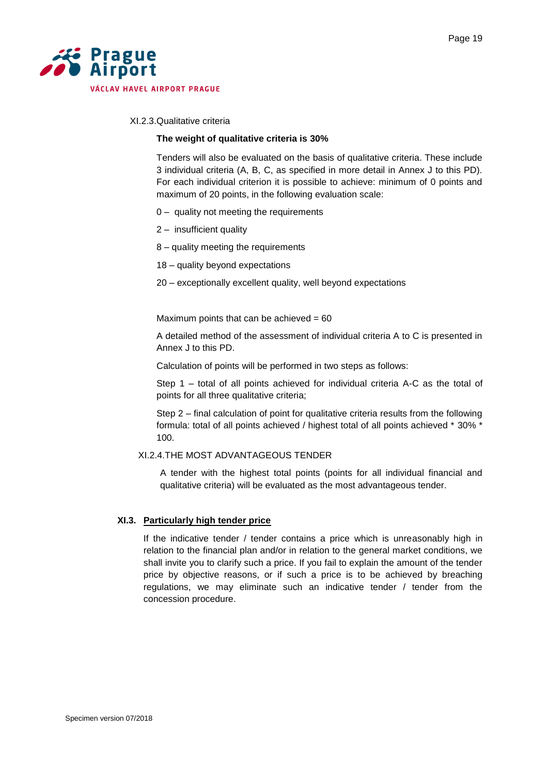

# XI.2.3.Qualitative criteria

#### **The weight of qualitative criteria is 30%**

Tenders will also be evaluated on the basis of qualitative criteria. These include 3 individual criteria (A, B, C, as specified in more detail in Annex J to this PD). For each individual criterion it is possible to achieve: minimum of 0 points and maximum of 20 points, in the following evaluation scale:

- 0 quality not meeting the requirements
- 2 insufficient quality
- 8 quality meeting the requirements
- 18 quality beyond expectations
- 20 exceptionally excellent quality, well beyond expectations

Maximum points that can be achieved  $= 60$ 

A detailed method of the assessment of individual criteria A to C is presented in Annex J to this PD.

Calculation of points will be performed in two steps as follows:

Step 1 – total of all points achieved for individual criteria A-C as the total of points for all three qualitative criteria;

Step 2 – final calculation of point for qualitative criteria results from the following formula: total of all points achieved / highest total of all points achieved \* 30% \* 100.

#### XI.2.4.THE MOST ADVANTAGEOUS TENDER

A tender with the highest total points (points for all individual financial and qualitative criteria) will be evaluated as the most advantageous tender.

#### **XI.3. Particularly high tender price**

If the indicative tender / tender contains a price which is unreasonably high in relation to the financial plan and/or in relation to the general market conditions, we shall invite you to clarify such a price. If you fail to explain the amount of the tender price by objective reasons, or if such a price is to be achieved by breaching regulations, we may eliminate such an indicative tender / tender from the concession procedure.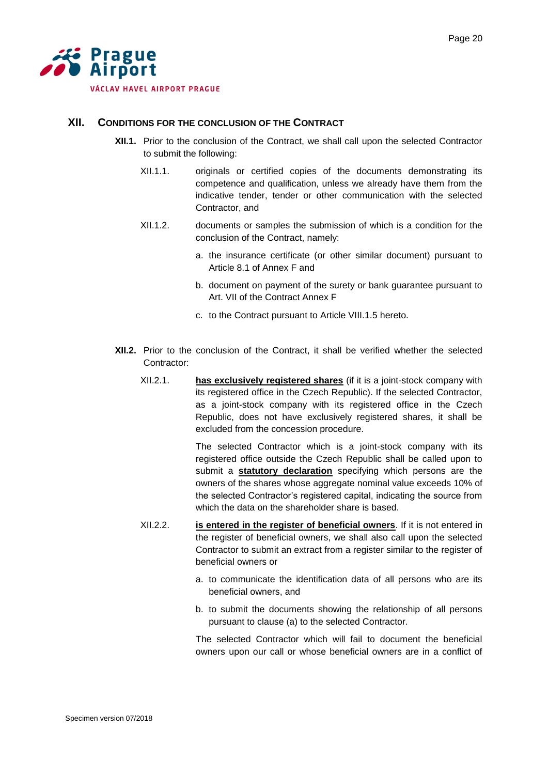

# <span id="page-19-0"></span>**XII. CONDITIONS FOR THE CONCLUSION OF THE CONTRACT**

- **XII.1.** Prior to the conclusion of the Contract, we shall call upon the selected Contractor to submit the following:
	- XII.1.1. originals or certified copies of the documents demonstrating its competence and qualification, unless we already have them from the indicative tender, tender or other communication with the selected Contractor, and
	- XII.1.2. documents or samples the submission of which is a condition for the conclusion of the Contract, namely:
		- a. the insurance certificate (or other similar document) pursuant to Article 8.1 of Annex F and
		- b. document on payment of the surety or bank guarantee pursuant to Art. VII of the Contract Annex F
		- c. to the Contract pursuant to Article VIII.1.5 hereto.
- **XII.2.** Prior to the conclusion of the Contract, it shall be verified whether the selected Contractor:
	- XII.2.1. **has exclusively registered shares** (if it is a joint-stock company with its registered office in the Czech Republic). If the selected Contractor, as a joint-stock company with its registered office in the Czech Republic, does not have exclusively registered shares, it shall be excluded from the concession procedure.

The selected Contractor which is a joint-stock company with its registered office outside the Czech Republic shall be called upon to submit a **statutory declaration** specifying which persons are the owners of the shares whose aggregate nominal value exceeds 10% of the selected Contractor's registered capital, indicating the source from which the data on the shareholder share is based.

- XII.2.2. **is entered in the register of beneficial owners**. If it is not entered in the register of beneficial owners, we shall also call upon the selected Contractor to submit an extract from a register similar to the register of beneficial owners or
	- a. to communicate the identification data of all persons who are its beneficial owners, and
	- b. to submit the documents showing the relationship of all persons pursuant to clause (a) to the selected Contractor.

The selected Contractor which will fail to document the beneficial owners upon our call or whose beneficial owners are in a conflict of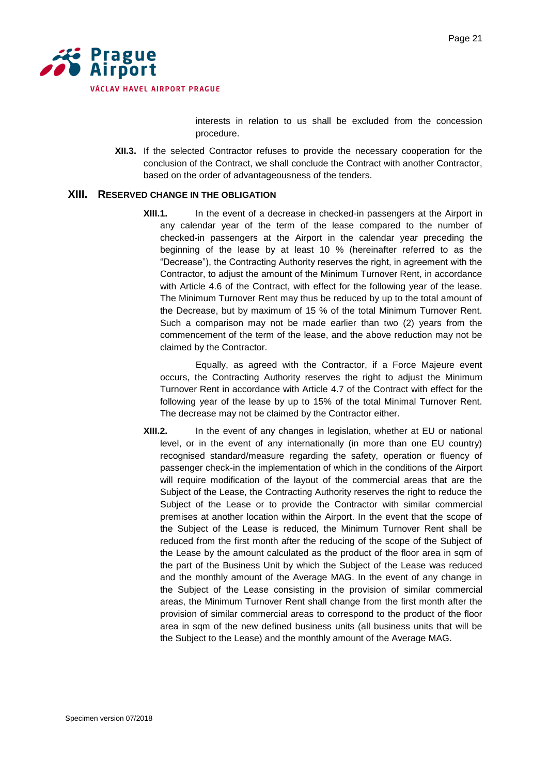

interests in relation to us shall be excluded from the concession procedure.

**XII.3.** If the selected Contractor refuses to provide the necessary cooperation for the conclusion of the Contract, we shall conclude the Contract with another Contractor, based on the order of advantageousness of the tenders.

# <span id="page-20-0"></span>**XIII. RESERVED CHANGE IN THE OBLIGATION**

**XIII.1.** In the event of a decrease in checked-in passengers at the Airport in any calendar year of the term of the lease compared to the number of checked-in passengers at the Airport in the calendar year preceding the beginning of the lease by at least 10 % (hereinafter referred to as the "Decrease"), the Contracting Authority reserves the right, in agreement with the Contractor, to adjust the amount of the Minimum Turnover Rent, in accordance with Article 4.6 of the Contract, with effect for the following year of the lease. The Minimum Turnover Rent may thus be reduced by up to the total amount of the Decrease, but by maximum of 15 % of the total Minimum Turnover Rent. Such a comparison may not be made earlier than two (2) years from the commencement of the term of the lease, and the above reduction may not be claimed by the Contractor.

Equally, as agreed with the Contractor, if a Force Majeure event occurs, the Contracting Authority reserves the right to adjust the Minimum Turnover Rent in accordance with Article 4.7 of the Contract with effect for the following year of the lease by up to 15% of the total Minimal Turnover Rent. The decrease may not be claimed by the Contractor either.

**XIII.2.** In the event of any changes in legislation, whether at EU or national level, or in the event of any internationally (in more than one EU country) recognised standard/measure regarding the safety, operation or fluency of passenger check-in the implementation of which in the conditions of the Airport will require modification of the layout of the commercial areas that are the Subject of the Lease, the Contracting Authority reserves the right to reduce the Subject of the Lease or to provide the Contractor with similar commercial premises at another location within the Airport. In the event that the scope of the Subject of the Lease is reduced, the Minimum Turnover Rent shall be reduced from the first month after the reducing of the scope of the Subject of the Lease by the amount calculated as the product of the floor area in sqm of the part of the Business Unit by which the Subject of the Lease was reduced and the monthly amount of the Average MAG. In the event of any change in the Subject of the Lease consisting in the provision of similar commercial areas, the Minimum Turnover Rent shall change from the first month after the provision of similar commercial areas to correspond to the product of the floor area in sqm of the new defined business units (all business units that will be the Subject to the Lease) and the monthly amount of the Average MAG.